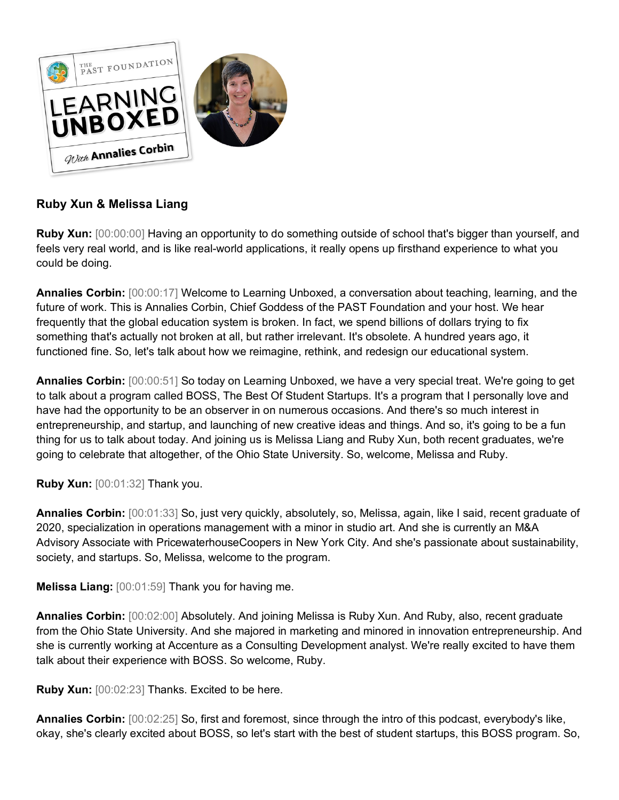

## **Ruby Xun & Melissa Liang**

**Ruby Xun:** [00:00:00] Having an opportunity to do something outside of school that's bigger than yourself, and feels very real world, and is like real-world applications, it really opens up firsthand experience to what you could be doing.

**Annalies Corbin:** [00:00:17] Welcome to Learning Unboxed, a conversation about teaching, learning, and the future of work. This is Annalies Corbin, Chief Goddess of the PAST Foundation and your host. We hear frequently that the global education system is broken. In fact, we spend billions of dollars trying to fix something that's actually not broken at all, but rather irrelevant. It's obsolete. A hundred years ago, it functioned fine. So, let's talk about how we reimagine, rethink, and redesign our educational system.

**Annalies Corbin:** [00:00:51] So today on Learning Unboxed, we have a very special treat. We're going to get to talk about a program called BOSS, The Best Of Student Startups. It's a program that I personally love and have had the opportunity to be an observer in on numerous occasions. And there's so much interest in entrepreneurship, and startup, and launching of new creative ideas and things. And so, it's going to be a fun thing for us to talk about today. And joining us is Melissa Liang and Ruby Xun, both recent graduates, we're going to celebrate that altogether, of the Ohio State University. So, welcome, Melissa and Ruby.

**Ruby Xun:** [00:01:32] Thank you.

**Annalies Corbin:** [00:01:33] So, just very quickly, absolutely, so, Melissa, again, like I said, recent graduate of 2020, specialization in operations management with a minor in studio art. And she is currently an M&A Advisory Associate with PricewaterhouseCoopers in New York City. And she's passionate about sustainability, society, and startups. So, Melissa, welcome to the program.

**Melissa Liang:** [00:01:59] Thank you for having me.

**Annalies Corbin:** [00:02:00] Absolutely. And joining Melissa is Ruby Xun. And Ruby, also, recent graduate from the Ohio State University. And she majored in marketing and minored in innovation entrepreneurship. And she is currently working at Accenture as a Consulting Development analyst. We're really excited to have them talk about their experience with BOSS. So welcome, Ruby.

**Ruby Xun:** [00:02:23] Thanks. Excited to be here.

**Annalies Corbin:** [00:02:25] So, first and foremost, since through the intro of this podcast, everybody's like, okay, she's clearly excited about BOSS, so let's start with the best of student startups, this BOSS program. So,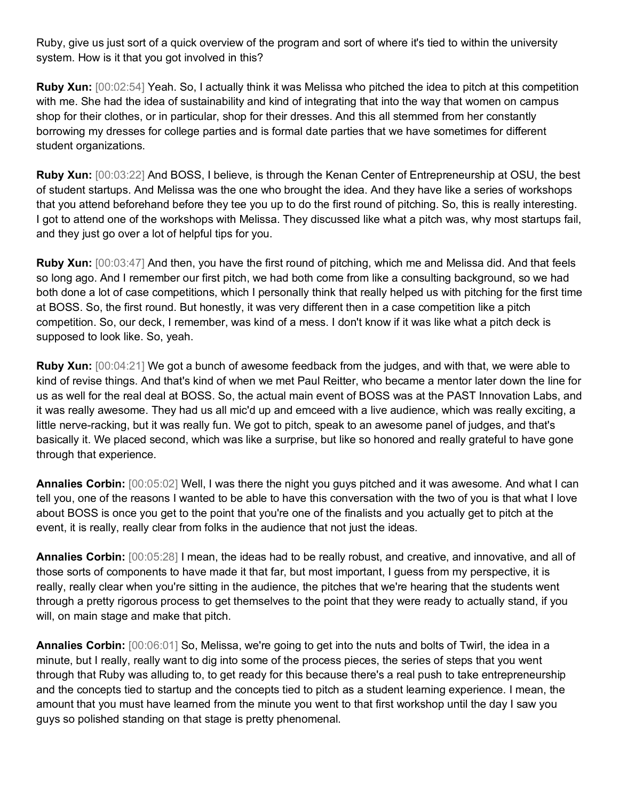Ruby, give us just sort of a quick overview of the program and sort of where it's tied to within the university system. How is it that you got involved in this?

**Ruby Xun:** [00:02:54] Yeah. So, I actually think it was Melissa who pitched the idea to pitch at this competition with me. She had the idea of sustainability and kind of integrating that into the way that women on campus shop for their clothes, or in particular, shop for their dresses. And this all stemmed from her constantly borrowing my dresses for college parties and is formal date parties that we have sometimes for different student organizations.

**Ruby Xun:** [00:03:22] And BOSS, I believe, is through the Kenan Center of Entrepreneurship at OSU, the best of student startups. And Melissa was the one who brought the idea. And they have like a series of workshops that you attend beforehand before they tee you up to do the first round of pitching. So, this is really interesting. I got to attend one of the workshops with Melissa. They discussed like what a pitch was, why most startups fail, and they just go over a lot of helpful tips for you.

**Ruby Xun:** [00:03:47] And then, you have the first round of pitching, which me and Melissa did. And that feels so long ago. And I remember our first pitch, we had both come from like a consulting background, so we had both done a lot of case competitions, which I personally think that really helped us with pitching for the first time at BOSS. So, the first round. But honestly, it was very different then in a case competition like a pitch competition. So, our deck, I remember, was kind of a mess. I don't know if it was like what a pitch deck is supposed to look like. So, yeah.

**Ruby Xun:** [00:04:21] We got a bunch of awesome feedback from the judges, and with that, we were able to kind of revise things. And that's kind of when we met Paul Reitter, who became a mentor later down the line for us as well for the real deal at BOSS. So, the actual main event of BOSS was at the PAST Innovation Labs, and it was really awesome. They had us all mic'd up and emceed with a live audience, which was really exciting, a little nerve-racking, but it was really fun. We got to pitch, speak to an awesome panel of judges, and that's basically it. We placed second, which was like a surprise, but like so honored and really grateful to have gone through that experience.

**Annalies Corbin:** [00:05:02] Well, I was there the night you guys pitched and it was awesome. And what I can tell you, one of the reasons I wanted to be able to have this conversation with the two of you is that what I love about BOSS is once you get to the point that you're one of the finalists and you actually get to pitch at the event, it is really, really clear from folks in the audience that not just the ideas.

**Annalies Corbin:** [00:05:28] I mean, the ideas had to be really robust, and creative, and innovative, and all of those sorts of components to have made it that far, but most important, I guess from my perspective, it is really, really clear when you're sitting in the audience, the pitches that we're hearing that the students went through a pretty rigorous process to get themselves to the point that they were ready to actually stand, if you will, on main stage and make that pitch.

**Annalies Corbin:** [00:06:01] So, Melissa, we're going to get into the nuts and bolts of Twirl, the idea in a minute, but I really, really want to dig into some of the process pieces, the series of steps that you went through that Ruby was alluding to, to get ready for this because there's a real push to take entrepreneurship and the concepts tied to startup and the concepts tied to pitch as a student learning experience. I mean, the amount that you must have learned from the minute you went to that first workshop until the day I saw you guys so polished standing on that stage is pretty phenomenal.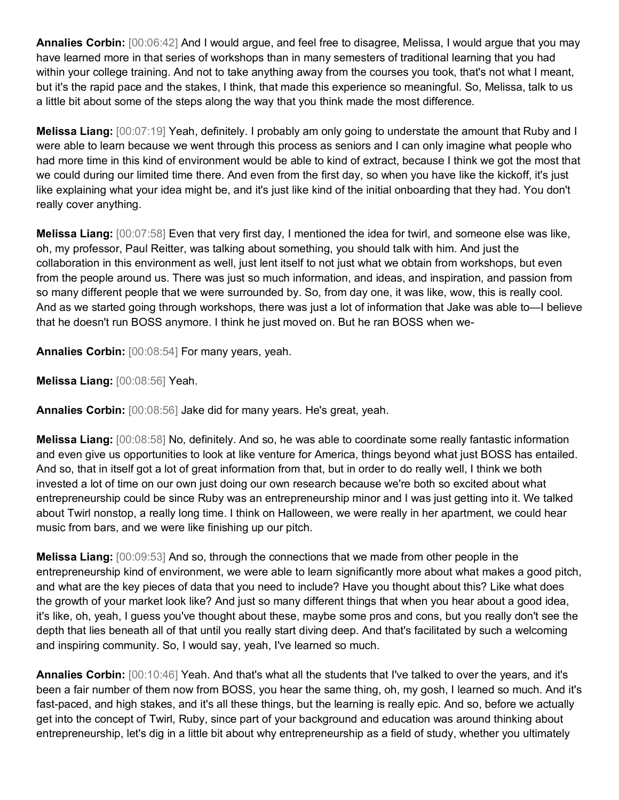**Annalies Corbin:** [00:06:42] And I would argue, and feel free to disagree, Melissa, I would argue that you may have learned more in that series of workshops than in many semesters of traditional learning that you had within your college training. And not to take anything away from the courses you took, that's not what I meant, but it's the rapid pace and the stakes, I think, that made this experience so meaningful. So, Melissa, talk to us a little bit about some of the steps along the way that you think made the most difference.

**Melissa Liang:** [00:07:19] Yeah, definitely. I probably am only going to understate the amount that Ruby and I were able to learn because we went through this process as seniors and I can only imagine what people who had more time in this kind of environment would be able to kind of extract, because I think we got the most that we could during our limited time there. And even from the first day, so when you have like the kickoff, it's just like explaining what your idea might be, and it's just like kind of the initial onboarding that they had. You don't really cover anything.

**Melissa Liang:** [00:07:58] Even that very first day, I mentioned the idea for twirl, and someone else was like, oh, my professor, Paul Reitter, was talking about something, you should talk with him. And just the collaboration in this environment as well, just lent itself to not just what we obtain from workshops, but even from the people around us. There was just so much information, and ideas, and inspiration, and passion from so many different people that we were surrounded by. So, from day one, it was like, wow, this is really cool. And as we started going through workshops, there was just a lot of information that Jake was able to—I believe that he doesn't run BOSS anymore. I think he just moved on. But he ran BOSS when we-

**Annalies Corbin:** [00:08:54] For many years, yeah.

**Melissa Liang:** [00:08:56] Yeah.

**Annalies Corbin:** [00:08:56] Jake did for many years. He's great, yeah.

**Melissa Liang:** [00:08:58] No, definitely. And so, he was able to coordinate some really fantastic information and even give us opportunities to look at like venture for America, things beyond what just BOSS has entailed. And so, that in itself got a lot of great information from that, but in order to do really well, I think we both invested a lot of time on our own just doing our own research because we're both so excited about what entrepreneurship could be since Ruby was an entrepreneurship minor and I was just getting into it. We talked about Twirl nonstop, a really long time. I think on Halloween, we were really in her apartment, we could hear music from bars, and we were like finishing up our pitch.

**Melissa Liang:** [00:09:53] And so, through the connections that we made from other people in the entrepreneurship kind of environment, we were able to learn significantly more about what makes a good pitch, and what are the key pieces of data that you need to include? Have you thought about this? Like what does the growth of your market look like? And just so many different things that when you hear about a good idea, it's like, oh, yeah, I guess you've thought about these, maybe some pros and cons, but you really don't see the depth that lies beneath all of that until you really start diving deep. And that's facilitated by such a welcoming and inspiring community. So, I would say, yeah, I've learned so much.

**Annalies Corbin:** [00:10:46] Yeah. And that's what all the students that I've talked to over the years, and it's been a fair number of them now from BOSS, you hear the same thing, oh, my gosh, I learned so much. And it's fast-paced, and high stakes, and it's all these things, but the learning is really epic. And so, before we actually get into the concept of Twirl, Ruby, since part of your background and education was around thinking about entrepreneurship, let's dig in a little bit about why entrepreneurship as a field of study, whether you ultimately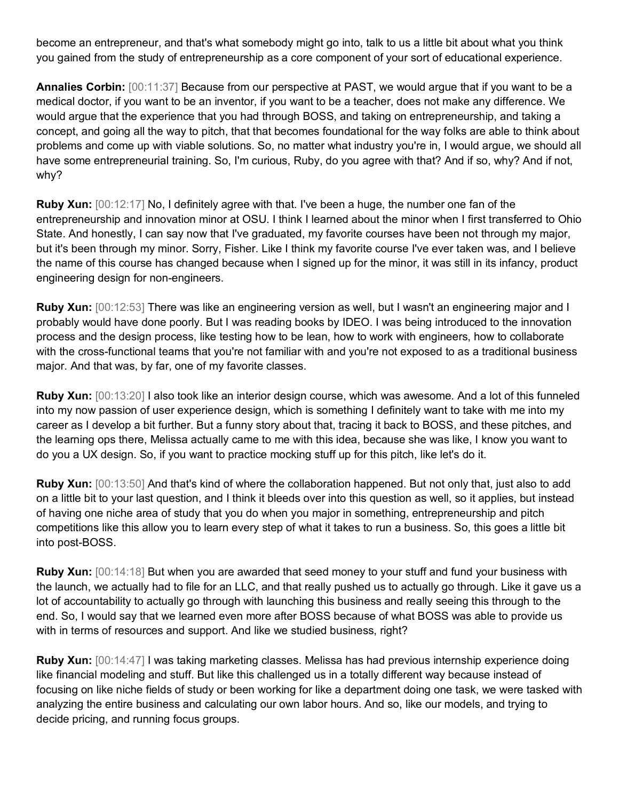become an entrepreneur, and that's what somebody might go into, talk to us a little bit about what you think you gained from the study of entrepreneurship as a core component of your sort of educational experience.

**Annalies Corbin:** [00:11:37] Because from our perspective at PAST, we would argue that if you want to be a medical doctor, if you want to be an inventor, if you want to be a teacher, does not make any difference. We would argue that the experience that you had through BOSS, and taking on entrepreneurship, and taking a concept, and going all the way to pitch, that that becomes foundational for the way folks are able to think about problems and come up with viable solutions. So, no matter what industry you're in, I would argue, we should all have some entrepreneurial training. So, I'm curious, Ruby, do you agree with that? And if so, why? And if not, why?

**Ruby Xun:** [00:12:17] No, I definitely agree with that. I've been a huge, the number one fan of the entrepreneurship and innovation minor at OSU. I think I learned about the minor when I first transferred to Ohio State. And honestly, I can say now that I've graduated, my favorite courses have been not through my major, but it's been through my minor. Sorry, Fisher. Like I think my favorite course I've ever taken was, and I believe the name of this course has changed because when I signed up for the minor, it was still in its infancy, product engineering design for non-engineers.

**Ruby Xun:** [00:12:53] There was like an engineering version as well, but I wasn't an engineering major and I probably would have done poorly. But I was reading books by IDEO. I was being introduced to the innovation process and the design process, like testing how to be lean, how to work with engineers, how to collaborate with the cross-functional teams that you're not familiar with and you're not exposed to as a traditional business major. And that was, by far, one of my favorite classes.

**Ruby Xun:** [00:13:20] I also took like an interior design course, which was awesome. And a lot of this funneled into my now passion of user experience design, which is something I definitely want to take with me into my career as I develop a bit further. But a funny story about that, tracing it back to BOSS, and these pitches, and the learning ops there, Melissa actually came to me with this idea, because she was like, I know you want to do you a UX design. So, if you want to practice mocking stuff up for this pitch, like let's do it.

**Ruby Xun:** [00:13:50] And that's kind of where the collaboration happened. But not only that, just also to add on a little bit to your last question, and I think it bleeds over into this question as well, so it applies, but instead of having one niche area of study that you do when you major in something, entrepreneurship and pitch competitions like this allow you to learn every step of what it takes to run a business. So, this goes a little bit into post-BOSS.

**Ruby Xun:** [00:14:18] But when you are awarded that seed money to your stuff and fund your business with the launch, we actually had to file for an LLC, and that really pushed us to actually go through. Like it gave us a lot of accountability to actually go through with launching this business and really seeing this through to the end. So, I would say that we learned even more after BOSS because of what BOSS was able to provide us with in terms of resources and support. And like we studied business, right?

**Ruby Xun:** [00:14:47] I was taking marketing classes. Melissa has had previous internship experience doing like financial modeling and stuff. But like this challenged us in a totally different way because instead of focusing on like niche fields of study or been working for like a department doing one task, we were tasked with analyzing the entire business and calculating our own labor hours. And so, like our models, and trying to decide pricing, and running focus groups.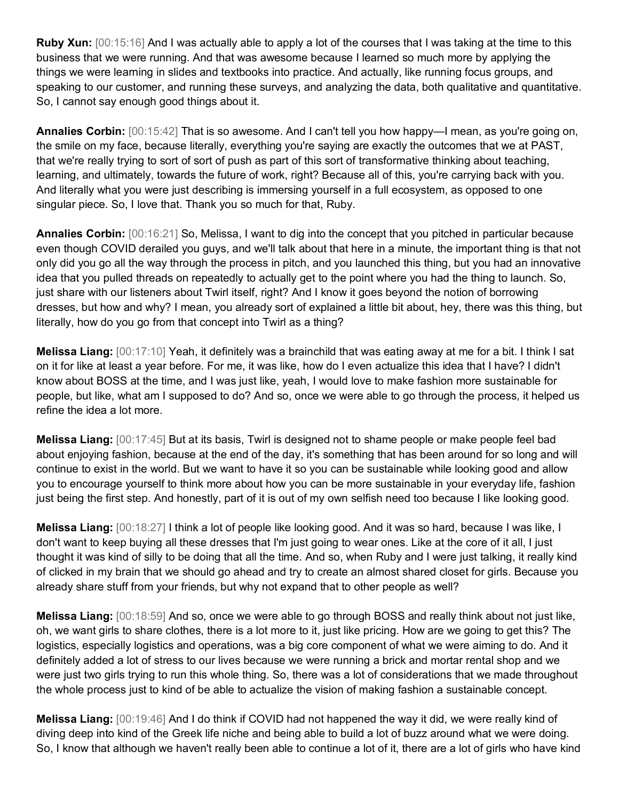**Ruby Xun:** [00:15:16] And I was actually able to apply a lot of the courses that I was taking at the time to this business that we were running. And that was awesome because I learned so much more by applying the things we were learning in slides and textbooks into practice. And actually, like running focus groups, and speaking to our customer, and running these surveys, and analyzing the data, both qualitative and quantitative. So, I cannot say enough good things about it.

**Annalies Corbin:**  $[00:15:42]$  That is so awesome. And I can't tell you how happy—I mean, as you're going on, the smile on my face, because literally, everything you're saying are exactly the outcomes that we at PAST, that we're really trying to sort of sort of push as part of this sort of transformative thinking about teaching, learning, and ultimately, towards the future of work, right? Because all of this, you're carrying back with you. And literally what you were just describing is immersing yourself in a full ecosystem, as opposed to one singular piece. So, I love that. Thank you so much for that, Ruby.

**Annalies Corbin:** [00:16:21] So, Melissa, I want to dig into the concept that you pitched in particular because even though COVID derailed you guys, and we'll talk about that here in a minute, the important thing is that not only did you go all the way through the process in pitch, and you launched this thing, but you had an innovative idea that you pulled threads on repeatedly to actually get to the point where you had the thing to launch. So, just share with our listeners about Twirl itself, right? And I know it goes beyond the notion of borrowing dresses, but how and why? I mean, you already sort of explained a little bit about, hey, there was this thing, but literally, how do you go from that concept into Twirl as a thing?

**Melissa Liang:** [00:17:10] Yeah, it definitely was a brainchild that was eating away at me for a bit. I think I sat on it for like at least a year before. For me, it was like, how do I even actualize this idea that I have? I didn't know about BOSS at the time, and I was just like, yeah, I would love to make fashion more sustainable for people, but like, what am I supposed to do? And so, once we were able to go through the process, it helped us refine the idea a lot more.

**Melissa Liang:** [00:17:45] But at its basis, Twirl is designed not to shame people or make people feel bad about enjoying fashion, because at the end of the day, it's something that has been around for so long and will continue to exist in the world. But we want to have it so you can be sustainable while looking good and allow you to encourage yourself to think more about how you can be more sustainable in your everyday life, fashion just being the first step. And honestly, part of it is out of my own selfish need too because I like looking good.

**Melissa Liang:** [00:18:27] I think a lot of people like looking good. And it was so hard, because I was like, I don't want to keep buying all these dresses that I'm just going to wear ones. Like at the core of it all, I just thought it was kind of silly to be doing that all the time. And so, when Ruby and I were just talking, it really kind of clicked in my brain that we should go ahead and try to create an almost shared closet for girls. Because you already share stuff from your friends, but why not expand that to other people as well?

**Melissa Liang:** [00:18:59] And so, once we were able to go through BOSS and really think about not just like, oh, we want girls to share clothes, there is a lot more to it, just like pricing. How are we going to get this? The logistics, especially logistics and operations, was a big core component of what we were aiming to do. And it definitely added a lot of stress to our lives because we were running a brick and mortar rental shop and we were just two girls trying to run this whole thing. So, there was a lot of considerations that we made throughout the whole process just to kind of be able to actualize the vision of making fashion a sustainable concept.

**Melissa Liang:** [00:19:46] And I do think if COVID had not happened the way it did, we were really kind of diving deep into kind of the Greek life niche and being able to build a lot of buzz around what we were doing. So, I know that although we haven't really been able to continue a lot of it, there are a lot of girls who have kind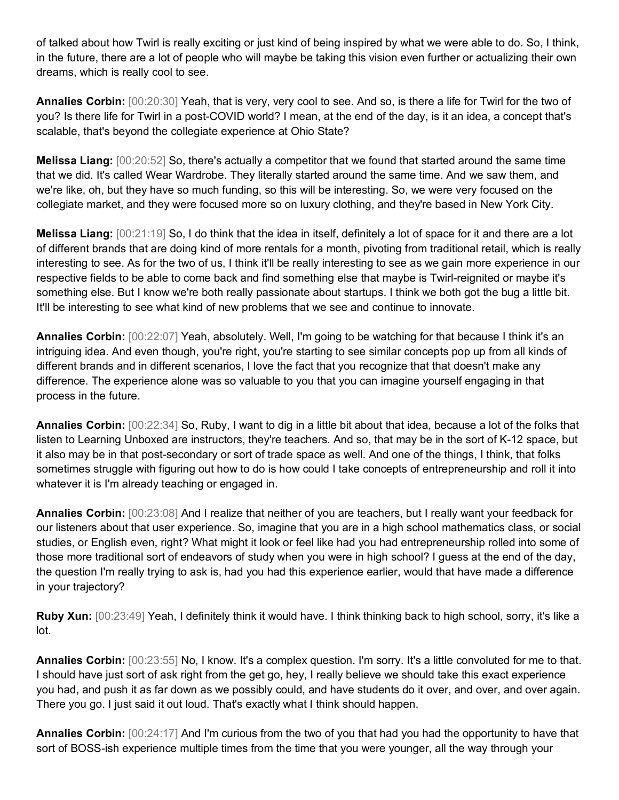of talked about how Twirl is really exciting or just kind of being inspired by what we were able to do. So, I think, in the future, there are a lot of people who will maybe be taking this vision even further or actualizing their own dreams, which is really cool to see.

**Annalies Corbin:** [00:20:30] Yeah, that is very, very cool to see. And so, is there a life for Twirl for the two of you? Is there life for Twirl in a post-COVID world? I mean, at the end of the day, is it an idea, a concept that's scalable, that's beyond the collegiate experience at Ohio State?

**Melissa Liang:** [00:20:52] So, there's actually a competitor that we found that started around the same time that we did. It's called Wear Wardrobe. They literally started around the same time. And we saw them, and we're like, oh, but they have so much funding, so this will be interesting. So, we were very focused on the collegiate market, and they were focused more so on luxury clothing, and they're based in New York City.

**Melissa Liang:** [00:21:19] So, I do think that the idea in itself, definitely a lot of space for it and there are a lot of different brands that are doing kind of more rentals for a month, pivoting from traditional retail, which is really interesting to see. As for the two of us, I think it'll be really interesting to see as we gain more experience in our respective fields to be able to come back and find something else that maybe is Twirl-reignited or maybe it's something else. But I know we're both really passionate about startups. I think we both got the bug a little bit. It'll be interesting to see what kind of new problems that we see and continue to innovate.

**Annalies Corbin:** [00:22:07] Yeah, absolutely. Well, I'm going to be watching for that because I think it's an intriguing idea. And even though, you're right, you're starting to see similar concepts pop up from all kinds of different brands and in different scenarios, I love the fact that you recognize that that doesn't make any difference. The experience alone was so valuable to you that you can imagine yourself engaging in that process in the future.

**Annalies Corbin:** [00:22:34] So, Ruby, I want to dig in a little bit about that idea, because a lot of the folks that listen to Learning Unboxed are instructors, they're teachers. And so, that may be in the sort of K-12 space, but it also may be in that post-secondary or sort of trade space as well. And one of the things, I think, that folks sometimes struggle with figuring out how to do is how could I take concepts of entrepreneurship and roll it into whatever it is I'm already teaching or engaged in.

**Annalies Corbin:** [00:23:08] And I realize that neither of you are teachers, but I really want your feedback for our listeners about that user experience. So, imagine that you are in a high school mathematics class, or social studies, or English even, right? What might it look or feel like had you had entrepreneurship rolled into some of those more traditional sort of endeavors of study when you were in high school? I guess at the end of the day, the question I'm really trying to ask is, had you had this experience earlier, would that have made a difference in your trajectory?

**Ruby Xun:** [00:23:49] Yeah, I definitely think it would have. I think thinking back to high school, sorry, it's like a lot.

**Annalies Corbin:** [00:23:55] No, I know. It's a complex question. I'm sorry. It's a little convoluted for me to that. I should have just sort of ask right from the get go, hey, I really believe we should take this exact experience you had, and push it as far down as we possibly could, and have students do it over, and over, and over again. There you go. I just said it out loud. That's exactly what I think should happen.

**Annalies Corbin:** [00:24:17] And I'm curious from the two of you that had you had the opportunity to have that sort of BOSS-ish experience multiple times from the time that you were younger, all the way through your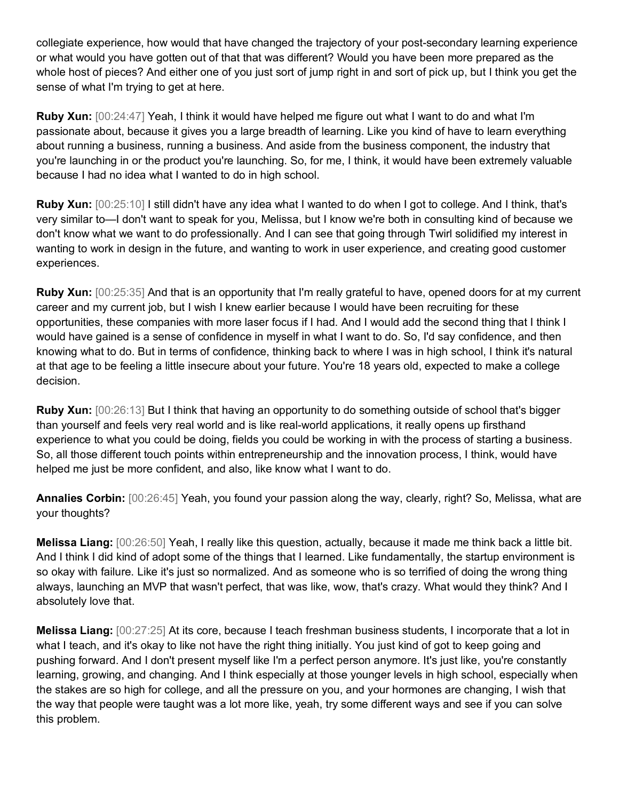collegiate experience, how would that have changed the trajectory of your post-secondary learning experience or what would you have gotten out of that that was different? Would you have been more prepared as the whole host of pieces? And either one of you just sort of jump right in and sort of pick up, but I think you get the sense of what I'm trying to get at here.

**Ruby Xun:** [00:24:47] Yeah, I think it would have helped me figure out what I want to do and what I'm passionate about, because it gives you a large breadth of learning. Like you kind of have to learn everything about running a business, running a business. And aside from the business component, the industry that you're launching in or the product you're launching. So, for me, I think, it would have been extremely valuable because I had no idea what I wanted to do in high school.

**Ruby Xun:** [00:25:10] I still didn't have any idea what I wanted to do when I got to college. And I think, that's very similar to—I don't want to speak for you, Melissa, but I know we're both in consulting kind of because we don't know what we want to do professionally. And I can see that going through Twirl solidified my interest in wanting to work in design in the future, and wanting to work in user experience, and creating good customer experiences.

**Ruby Xun:** [00:25:35] And that is an opportunity that I'm really grateful to have, opened doors for at my current career and my current job, but I wish I knew earlier because I would have been recruiting for these opportunities, these companies with more laser focus if I had. And I would add the second thing that I think I would have gained is a sense of confidence in myself in what I want to do. So, I'd say confidence, and then knowing what to do. But in terms of confidence, thinking back to where I was in high school, I think it's natural at that age to be feeling a little insecure about your future. You're 18 years old, expected to make a college decision.

**Ruby Xun:** [00:26:13] But I think that having an opportunity to do something outside of school that's bigger than yourself and feels very real world and is like real-world applications, it really opens up firsthand experience to what you could be doing, fields you could be working in with the process of starting a business. So, all those different touch points within entrepreneurship and the innovation process, I think, would have helped me just be more confident, and also, like know what I want to do.

**Annalies Corbin:** [00:26:45] Yeah, you found your passion along the way, clearly, right? So, Melissa, what are your thoughts?

**Melissa Liang:** [00:26:50] Yeah, I really like this question, actually, because it made me think back a little bit. And I think I did kind of adopt some of the things that I learned. Like fundamentally, the startup environment is so okay with failure. Like it's just so normalized. And as someone who is so terrified of doing the wrong thing always, launching an MVP that wasn't perfect, that was like, wow, that's crazy. What would they think? And I absolutely love that.

**Melissa Liang:** [00:27:25] At its core, because I teach freshman business students, I incorporate that a lot in what I teach, and it's okay to like not have the right thing initially. You just kind of got to keep going and pushing forward. And I don't present myself like I'm a perfect person anymore. It's just like, you're constantly learning, growing, and changing. And I think especially at those younger levels in high school, especially when the stakes are so high for college, and all the pressure on you, and your hormones are changing, I wish that the way that people were taught was a lot more like, yeah, try some different ways and see if you can solve this problem.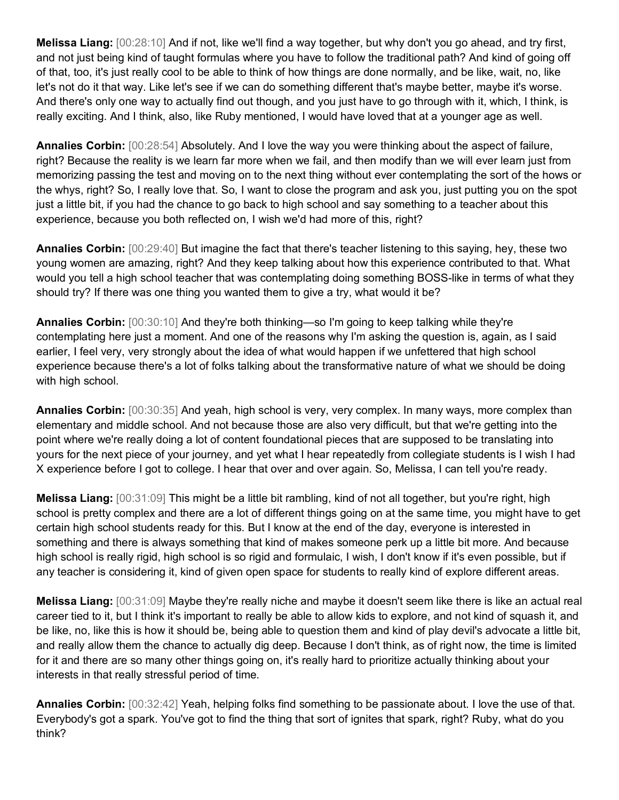**Melissa Liang:** [00:28:10] And if not, like we'll find a way together, but why don't you go ahead, and try first, and not just being kind of taught formulas where you have to follow the traditional path? And kind of going off of that, too, it's just really cool to be able to think of how things are done normally, and be like, wait, no, like let's not do it that way. Like let's see if we can do something different that's maybe better, maybe it's worse. And there's only one way to actually find out though, and you just have to go through with it, which, I think, is really exciting. And I think, also, like Ruby mentioned, I would have loved that at a younger age as well.

**Annalies Corbin:** [00:28:54] Absolutely. And I love the way you were thinking about the aspect of failure, right? Because the reality is we learn far more when we fail, and then modify than we will ever learn just from memorizing passing the test and moving on to the next thing without ever contemplating the sort of the hows or the whys, right? So, I really love that. So, I want to close the program and ask you, just putting you on the spot just a little bit, if you had the chance to go back to high school and say something to a teacher about this experience, because you both reflected on, I wish we'd had more of this, right?

**Annalies Corbin:** [00:29:40] But imagine the fact that there's teacher listening to this saying, hey, these two young women are amazing, right? And they keep talking about how this experience contributed to that. What would you tell a high school teacher that was contemplating doing something BOSS-like in terms of what they should try? If there was one thing you wanted them to give a try, what would it be?

**Annalies Corbin:** [00:30:10] And they're both thinking—so I'm going to keep talking while they're contemplating here just a moment. And one of the reasons why I'm asking the question is, again, as I said earlier, I feel very, very strongly about the idea of what would happen if we unfettered that high school experience because there's a lot of folks talking about the transformative nature of what we should be doing with high school.

**Annalies Corbin:** [00:30:35] And yeah, high school is very, very complex. In many ways, more complex than elementary and middle school. And not because those are also very difficult, but that we're getting into the point where we're really doing a lot of content foundational pieces that are supposed to be translating into yours for the next piece of your journey, and yet what I hear repeatedly from collegiate students is I wish I had X experience before I got to college. I hear that over and over again. So, Melissa, I can tell you're ready.

**Melissa Liang:** [00:31:09] This might be a little bit rambling, kind of not all together, but you're right, high school is pretty complex and there are a lot of different things going on at the same time, you might have to get certain high school students ready for this. But I know at the end of the day, everyone is interested in something and there is always something that kind of makes someone perk up a little bit more. And because high school is really rigid, high school is so rigid and formulaic, I wish, I don't know if it's even possible, but if any teacher is considering it, kind of given open space for students to really kind of explore different areas.

**Melissa Liang:** [00:31:09] Maybe they're really niche and maybe it doesn't seem like there is like an actual real career tied to it, but I think it's important to really be able to allow kids to explore, and not kind of squash it, and be like, no, like this is how it should be, being able to question them and kind of play devil's advocate a little bit, and really allow them the chance to actually dig deep. Because I don't think, as of right now, the time is limited for it and there are so many other things going on, it's really hard to prioritize actually thinking about your interests in that really stressful period of time.

**Annalies Corbin:** [00:32:42] Yeah, helping folks find something to be passionate about. I love the use of that. Everybody's got a spark. You've got to find the thing that sort of ignites that spark, right? Ruby, what do you think?